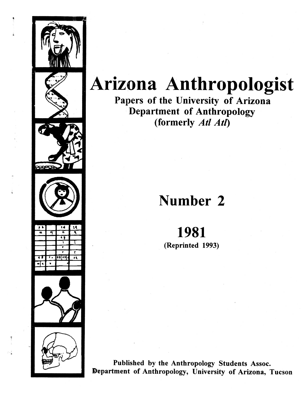

## **Arizona Anthropologist**

Papers of the University of Arizona Department of Anthropology (formerly Atl Atl)

## Number 2

## 1981

(Reprinted 1993)

Published by the Anthropology Students Assoc. Department of Anthropology, University of Arizona, Tucson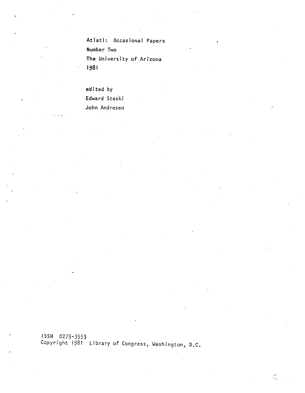Atlati: Occasional Papers Number Two The University of Arizona 1981

edited by Edward Staskj John Andresen

\* \* —S

ISSN 0275-3553 Copyright 1981 Library of Congress, Washington,

 $\subset$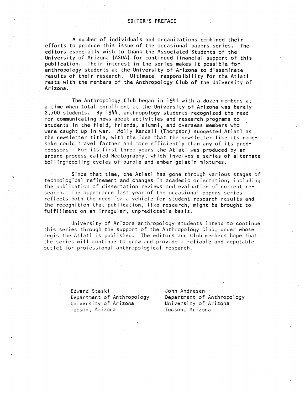efforts to produce this issue of the occasional papers series. The editors especially wish to thank the Associated Students of the the state of the state of the state of the sta University of Arizona (ASUA) for continued financial support of this publication. Their interest in the series makes it possible for anthropology s tudents at the University of Arizona to disseminate results of the ir research. Ultimate responsibility for the Atlati rests with the members of the Anthropology Club of the University of Arizona. A number of individuals and organizations combined their

a time when total enrollment at the University of Arizona was barely 2,700 students By 1944, anthropology students recognized the need for communicat ing news about activities and research programs to students in the field, friends, alumni, and overseas members who were caught up in war. Molly Kendall (Thompson) suggested Atlatl as the newsletter title, with the idea that the newsletter like its namesake could tra vel farther and more efficiently than any of its predecessors. For its first three years the Atlatl was produced by an arcane process called Hectography, which involves a series of a I ternate The Anthropology Club began in 1941 with a dozen members at boiling-cooling cycles of purple and amber gelatin mixtures.

since that time, the Atlati has gone through various stages of technological refinement and changes in academic orientation, including than the publication of dissertation reviews and evaluation of current research. The appearance last year of the occasional papers series reflects both the need for a vehicle for student research results and the recognition that publication, like research, might be **brought** to fulfillment on an irregul an, unpredictable basis.

University of Arizona anthropology students intend to continue this series through the support of the Anthropology Club, under whose aegis the Atlatl is published. The editors and Club members hope that the series will continue to grow and provide a reliable and reputable outlet for professional anthropological research.

> Edward Staski Department of Anthropology University of Arizona Tucson, Arizona

John Andresen Department of Anthropology University of Arizona Tucson, Arizona